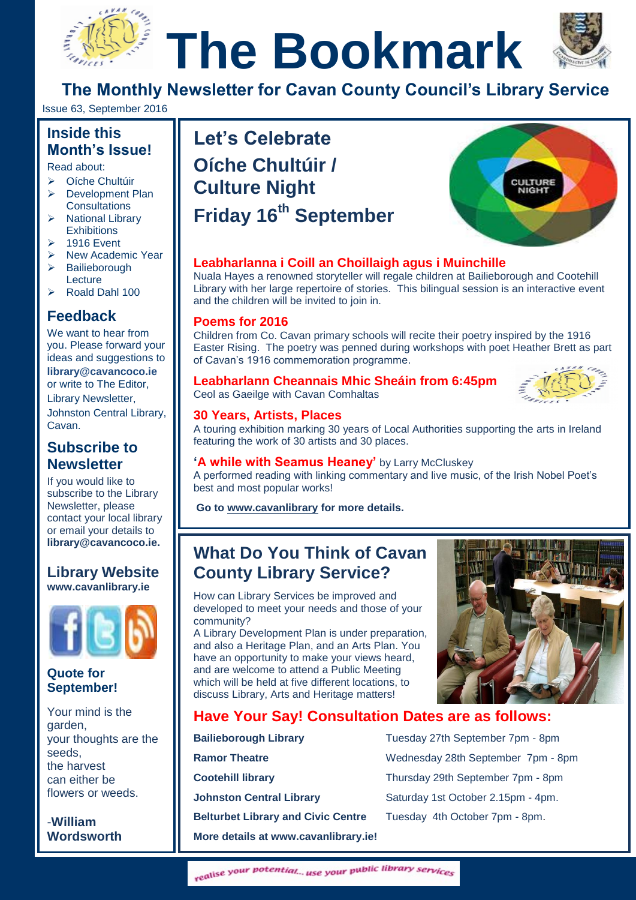# **The Bookmark**



**The Monthly Newsletter for Cavan County Council's Library Service**

Issue 63, September 2016

# **Inside this Month's Issue!**

Read about:

- Oíche Chultúir  $\triangleright$  Development Plan **Consultations**
- $\triangleright$  National Library **Exhibitions**
- $\geq$  1916 Event
- $\triangleright$  New Academic Year
- > Bailieborough Lecture
- Roald Dahl 100

# **Feedback**

We want to hear from you. Please forward your ideas and suggestions to **[library@cavancoco.ie](mailto:info@cavanlibrary.ie?subject=Newsletter%20ideas%20&%20Feedback)** or write to The Editor, Library Newsletter, Johnston Central Library, Cavan.

# **Subscribe to Newsletter**

If you would like to subscribe to the Library Newsletter, please contact your local library or email your details to **[library@cavancoco.ie.](mailto:library@cavancoco.ie)**

## **Library Website [www.cavanlibrary.ie](http://www.cavanlibrary.ie/)**



## **Quote for September!**

Your mind is the garden, your thoughts are the seeds, the harvest can either be flowers or weeds.

-**William Wordsworth**

# **The Month's Issue!**<br>
Read about:<br>
→ Oíche Chultúir<br>
→ Oíche Chultúir<br>
→ Oíche Chultúir<br>
→ Oíche Chultúir<br>
→ Oíche Chultúir **Let's Celebrate Oíche Chultúir / Culture Night Friday 16th September**



## **Leabharlanna i Coill an Choillaigh agus i Muinchille**

Nuala Hayes a renowned storyteller will regale children at Bailieborough and Cootehill Library with her large repertoire of stories. This bilingual session is an interactive event and the children will be invited to join in.

#### **Poems for 2016**

Children from Co. Cavan primary schools will recite their poetry inspired by the 1916 Easter Rising. The poetry was penned during workshops with poet Heather Brett as part of Cavan's 1916 commemoration programme.

## **Leabharlann Cheannais Mhic Sheáin from 6:45pm**

Ceol as Gaeilge with Cavan Comhaltas

#### **30 Years, Artists, Places**

A touring exhibition marking 30 years of Local Authorities supporting the arts in Ireland featuring the work of 30 artists and 30 places.

#### **'A while with Seamus Heaney'** by Larry McCluskey

A performed reading with linking commentary and live music, of the Irish Nobel Poet's best and most popular works!

**Go to [www.cavanlibrary](http://www.cavanlibrary/) for more details.**

# **What Do You Think of Cavan County Library Service?**

How can Library Services be improved and developed to meet your needs and those of your community?

A Library Development Plan is under preparation, and also a Heritage Plan, and an Arts Plan. You have an opportunity to make your views heard, and are welcome to attend a Public Meeting which will be held at five different locations, to discuss Library, Arts and Heritage matters!



# **Have Your Say! Consultation Dates are as follows:**

| <b>Bailieborough Library</b>              | Tuesday 27th September 7pm - 8pm   |
|-------------------------------------------|------------------------------------|
| <b>Ramor Theatre</b>                      | Wednesday 28th September 7pm - 8pm |
| <b>Cootehill library</b>                  | Thursday 29th September 7pm - 8pm  |
| <b>Johnston Central Library</b>           | Saturday 1st October 2.15pm - 4pm. |
| <b>Belturbet Library and Civic Centre</b> | Tuesday 4th October 7pm - 8pm.     |
| More details at www.cavanlibrary.ie!      |                                    |

realise your potential... use your public library services